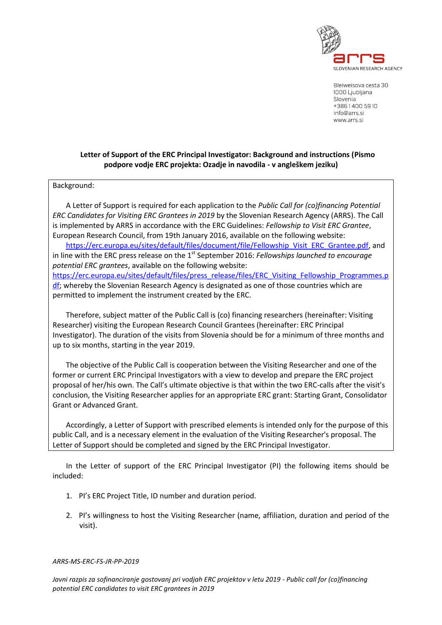

Bleiweisova cesta 30 1000 Ljubljana Slovenia +38614005910 info@arrs.si www.arrs.si

## **Letter of Support of the ERC Principal Investigator: Background and instructions (Pismo podpore vodje ERC projekta: Ozadje in navodila - v angleškem jeziku)**

## Background:

A Letter of Support is required for each application to the *Public Call for (co)financing Potential ERC Candidates for Visiting ERC Grantees in 2019* by the Slovenian Research Agency (ARRS). The Call is implemented by ARRS in accordance with the ERC Guidelines: *Fellowship to Visit ERC Grantee*, European Research Council, from 19th January 2016, available on the following website:

[https://erc.europa.eu/sites/default/files/document/file/Fellowship\\_Visit\\_ERC\\_Grantee.pdf,](https://erc.europa.eu/sites/default/files/document/file/Fellowship_Visit_ERC_Grantee.pdf) and in line with the ERC press release on the 1<sup>st</sup> September 2016: *Fellowships launched to encourage potential ERC grantees*, available on the following website: [https://erc.europa.eu/sites/default/files/press\\_release/files/ERC\\_Visiting\\_Fellowship\\_Programmes.p](https://erc.europa.eu/sites/default/files/press_release/files/ERC_Visiting_Fellowship_Programmes.pdf)

[df;](https://erc.europa.eu/sites/default/files/press_release/files/ERC_Visiting_Fellowship_Programmes.pdf) whereby the Slovenian Research Agency is designated as one of those countries which are permitted to implement the instrument created by the ERC.

Therefore, subject matter of the Public Call is (co) financing researchers (hereinafter: Visiting Researcher) visiting the European Research Council Grantees (hereinafter: ERC Principal Investigator). The duration of the visits from Slovenia should be for a minimum of three months and up to six months, starting in the year 2019.

The objective of the Public Call is cooperation between the Visiting Researcher and one of the former or current ERC Principal Investigators with a view to develop and prepare the ERC project proposal of her/his own. The Call's ultimate objective is that within the two ERC-calls after the visit's conclusion, the Visiting Researcher applies for an appropriate ERC grant: Starting Grant, Consolidator Grant or Advanced Grant.

Accordingly, a Letter of Support with prescribed elements is intended only for the purpose of this public Call, and is a necessary element in the evaluation of the Visiting Researcher's proposal. The Letter of Support should be completed and signed by the ERC Principal Investigator.

In the Letter of support of the ERC Principal Investigator (PI) the following items should be included:

- 1. PI's ERC Project Title, ID number and duration period.
- 2. PI's willingness to host the Visiting Researcher (name, affiliation, duration and period of the visit).

## *ARRS-MS-ERC-FS-JR-PP-2019*